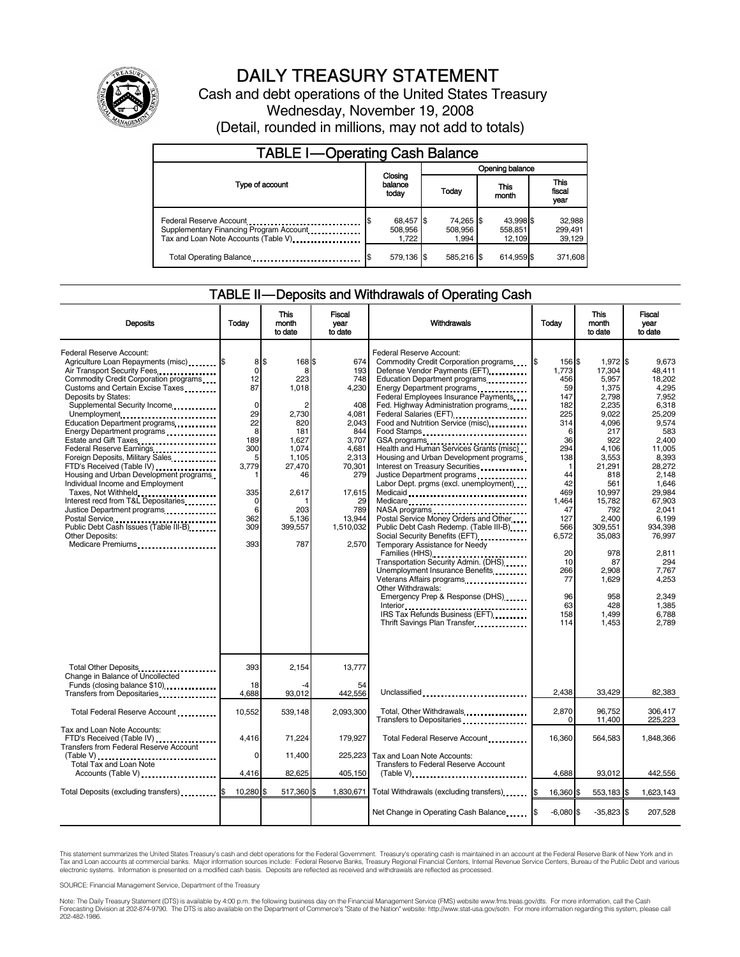

# DAILY TREASURY STATEMENT

Cash and debt operations of the United States Treasury Wednesday, November 19, 2008 (Detail, rounded in millions, may not add to totals)

| <b>TABLE I-Operating Cash Balance</b>                                                                      |                               |                               |                                |                               |  |  |  |
|------------------------------------------------------------------------------------------------------------|-------------------------------|-------------------------------|--------------------------------|-------------------------------|--|--|--|
|                                                                                                            |                               | Opening balance               |                                |                               |  |  |  |
| Type of account                                                                                            | Closing<br>balance<br>today   | Today                         | This<br>month                  | <b>This</b><br>fiscal<br>year |  |  |  |
| Federal Reserve Account<br>Supplementary Financing Program Account<br>Tax and Loan Note Accounts (Table V) | 68,457 \$<br>508,956<br>1.722 | 74,265 \$<br>508,956<br>1.994 | 43,998 \$<br>558,851<br>12.109 | 32,988<br>299,491<br>39,129   |  |  |  |
| Total Operating Balance                                                                                    | 579.136 \$                    | 585.216 \$                    | 614.959 \$                     | 371,608                       |  |  |  |

#### TABLE II — Deposits and Withdrawals of Operating Cash

| <b>Deposits</b>                                                                                                                                                                                                                                                                                                                                                                                                                                                                                                                                                                                                                                                                                                  | Today                                                                                                                                    | This<br>month<br>to date                                                                                                                            | Fiscal<br>vear<br>to date                                                                                                                                     | Withdrawals                                                                                                                                                                                                                                                                                                                                                                                                                                                                                                                                                                                                                                                                                                                                                                                                                                                                                                                                                                              | Today                                                                                                                                                                                                     | <b>This</b><br>month<br>to date                                                                                                                                                                                                                          | Fiscal<br>vear<br>to date                                                                                                                                                                                                                                               |
|------------------------------------------------------------------------------------------------------------------------------------------------------------------------------------------------------------------------------------------------------------------------------------------------------------------------------------------------------------------------------------------------------------------------------------------------------------------------------------------------------------------------------------------------------------------------------------------------------------------------------------------------------------------------------------------------------------------|------------------------------------------------------------------------------------------------------------------------------------------|-----------------------------------------------------------------------------------------------------------------------------------------------------|---------------------------------------------------------------------------------------------------------------------------------------------------------------|------------------------------------------------------------------------------------------------------------------------------------------------------------------------------------------------------------------------------------------------------------------------------------------------------------------------------------------------------------------------------------------------------------------------------------------------------------------------------------------------------------------------------------------------------------------------------------------------------------------------------------------------------------------------------------------------------------------------------------------------------------------------------------------------------------------------------------------------------------------------------------------------------------------------------------------------------------------------------------------|-----------------------------------------------------------------------------------------------------------------------------------------------------------------------------------------------------------|----------------------------------------------------------------------------------------------------------------------------------------------------------------------------------------------------------------------------------------------------------|-------------------------------------------------------------------------------------------------------------------------------------------------------------------------------------------------------------------------------------------------------------------------|
| <b>Federal Reserve Account:</b><br>Agriculture Loan Repayments (misc) \$<br>Air Transport Security Fees<br>Commodity Credit Corporation programs<br>Customs and Certain Excise Taxes<br>Deposits by States:<br>Supplemental Security Income<br>Unemployment<br>Education Department programs<br>Energy Department programs<br>Estate and Gift Taxes<br>Federal Reserve Earnings<br>Foreign Deposits, Military Sales<br>FTD's Received (Table IV)<br>Housing and Urban Development programs<br>Individual Income and Employment<br>Taxes, Not Withheld<br>Interest recd from T&L Depositaries<br>Justice Department programs<br>Public Debt Cash Issues (Table III-B)<br>Other Deposits:<br>Medicare Premiums<br> | 8<br>$\mathbf 0$<br>12<br>87<br>$\mathbf 0$<br>29<br>22<br>8<br>189<br>300<br>5<br>3,779<br>335<br>$\mathbf 0$<br>6<br>362<br>309<br>393 | \$.<br>168\$<br>8<br>223<br>1,018<br>2<br>2,730<br>820<br>181<br>1,627<br>1,074<br>1,105<br>27,470<br>46<br>2.617<br>203<br>5.136<br>399,557<br>787 | 674<br>193<br>748<br>4,230<br>408<br>4,081<br>2,043<br>844<br>3,707<br>4,681<br>2,313<br>70,301<br>279<br>17,615<br>29<br>789<br>13.944<br>1,510,032<br>2.570 | Federal Reserve Account:<br>Commodity Credit Corporation programs<br>Defense Vendor Payments (EFT)<br>Education Department programs<br>Energy Department programs<br><br>Federal Employees Insurance Payments<br>Fed. Highway Administration programs<br>Federal Salaries (EFT)<br>1991 - Pateral Salaries (EFT)<br>Food and Nutrition Service (misc)<br>Food Stamps<br>Health and Human Services Grants (misc)<br>Housing and Urban Development programs<br>Interest on Treasury Securities<br>Justice Department programs<br>Labor Dept. prgms (excl. unemployment)<br>Medicaid<br>Medicare<br>NASA programs<br>Postal Service Money Orders and Other<br>Public Debt Cash Redemp. (Table III-B)<br>Temporary Assistance for Needy<br>Families (HHS)<br>Transportation Security Admin. (DHS)<br>Unemployment Insurance Benefits<br>Veterans Affairs programs<br>Other Withdrawals:<br>Emergency Prep & Response (DHS)<br>IRS Tax Refunds Business (EFT)<br>Thrift Savings Plan Transfer | I\$<br>156 \$<br>1,773<br>456<br>59<br>147<br>182<br>225<br>314<br>6<br>36<br>294<br>138<br>1<br>44<br>42<br>469<br>1,464<br>47<br>127<br>566<br>6,572<br>20<br>10<br>266<br>77<br>96<br>63<br>158<br>114 | 1,972 \$<br>17.304<br>5,957<br>1,375<br>2,798<br>2,235<br>9,022<br>4,096<br>217<br>922<br>4,106<br>3,553<br>21,291<br>818<br>561<br>10.997<br>15,782<br>792<br>2.400<br>309,551<br>35,083<br>978<br>87<br>2.908<br>1.629<br>958<br>428<br>1.499<br>1,453 | 9.673<br>48.411<br>18,202<br>4,295<br>7.952<br>6,318<br>25,209<br>9,574<br>583<br>2,400<br>11.005<br>8,393<br>28,272<br>2,148<br>1.646<br>29.984<br>67,903<br>2,041<br>6.199<br>934,398<br>76.997<br>2.811<br>294<br>7,767<br>4,253<br>2.349<br>1.385<br>6.788<br>2,789 |
| Total Other Deposits<br>Change in Balance of Uncollected                                                                                                                                                                                                                                                                                                                                                                                                                                                                                                                                                                                                                                                         | 393<br>18                                                                                                                                | 2,154<br>-4                                                                                                                                         | 13,777<br>54                                                                                                                                                  |                                                                                                                                                                                                                                                                                                                                                                                                                                                                                                                                                                                                                                                                                                                                                                                                                                                                                                                                                                                          |                                                                                                                                                                                                           |                                                                                                                                                                                                                                                          |                                                                                                                                                                                                                                                                         |
| Funds (closing balance \$10)<br>Transfers from Depositaries                                                                                                                                                                                                                                                                                                                                                                                                                                                                                                                                                                                                                                                      | 4,688                                                                                                                                    | 93,012                                                                                                                                              | 442,556                                                                                                                                                       | Unclassified                                                                                                                                                                                                                                                                                                                                                                                                                                                                                                                                                                                                                                                                                                                                                                                                                                                                                                                                                                             | 2.438                                                                                                                                                                                                     | 33.429                                                                                                                                                                                                                                                   | 82,383                                                                                                                                                                                                                                                                  |
| Total Federal Reserve Account                                                                                                                                                                                                                                                                                                                                                                                                                                                                                                                                                                                                                                                                                    | 10,552                                                                                                                                   | 539.148                                                                                                                                             | 2.093.300                                                                                                                                                     | Total, Other Withdrawals<br>Transfers to Depositaries                                                                                                                                                                                                                                                                                                                                                                                                                                                                                                                                                                                                                                                                                                                                                                                                                                                                                                                                    | 2.870<br>$\Omega$                                                                                                                                                                                         | 96.752<br>11,400                                                                                                                                                                                                                                         | 306.417<br>225,223                                                                                                                                                                                                                                                      |
| Tax and Loan Note Accounts:<br>FTD's Received (Table IV)<br><b>Transfers from Federal Reserve Account</b><br>$(Table V)$                                                                                                                                                                                                                                                                                                                                                                                                                                                                                                                                                                                         | 4.416<br>0                                                                                                                               | 71.224<br>11,400                                                                                                                                    | 179.927<br>225,223                                                                                                                                            | Total Federal Reserve Account<br>Tax and Loan Note Accounts:                                                                                                                                                                                                                                                                                                                                                                                                                                                                                                                                                                                                                                                                                                                                                                                                                                                                                                                             | 16.360                                                                                                                                                                                                    | 564.583                                                                                                                                                                                                                                                  | 1.848.366                                                                                                                                                                                                                                                               |
| <b>Total Tax and Loan Note</b><br>Accounts (Table V)                                                                                                                                                                                                                                                                                                                                                                                                                                                                                                                                                                                                                                                             | 4.416                                                                                                                                    | 82,625                                                                                                                                              | 405,150                                                                                                                                                       | <b>Transfers to Federal Reserve Account</b><br>$(Table V)$                                                                                                                                                                                                                                                                                                                                                                                                                                                                                                                                                                                                                                                                                                                                                                                                                                                                                                                               | 4.688                                                                                                                                                                                                     | 93.012                                                                                                                                                                                                                                                   | 442,556                                                                                                                                                                                                                                                                 |
| Total Deposits (excluding transfers)                                                                                                                                                                                                                                                                                                                                                                                                                                                                                                                                                                                                                                                                             | 10,280                                                                                                                                   | 517,360 \$                                                                                                                                          | 1,830,671                                                                                                                                                     | Total Withdrawals (excluding transfers)                                                                                                                                                                                                                                                                                                                                                                                                                                                                                                                                                                                                                                                                                                                                                                                                                                                                                                                                                  | 16,360 \$<br>l\$                                                                                                                                                                                          | 553,183 \$                                                                                                                                                                                                                                               | 1,623,143                                                                                                                                                                                                                                                               |
|                                                                                                                                                                                                                                                                                                                                                                                                                                                                                                                                                                                                                                                                                                                  |                                                                                                                                          |                                                                                                                                                     |                                                                                                                                                               | Net Change in Operating Cash Balance                                                                                                                                                                                                                                                                                                                                                                                                                                                                                                                                                                                                                                                                                                                                                                                                                                                                                                                                                     | $-6,080$ \$                                                                                                                                                                                               | $-35,823$ \$                                                                                                                                                                                                                                             | 207,528                                                                                                                                                                                                                                                                 |

This statement summarizes the United States Treasury's cash and debt operations for the Federal Government. Treasury's operating cash is maintained in an account at the Federal Reserve Bank of New York and in<br>Tax and Loan

SOURCE: Financial Management Service, Department of the Treasury

Note: The Daily Treasury Statement (DTS) is available by 4:00 p.m. the following business day on the Financial Management Service (FMS) website www.fms.treas.gov/dts. For more information, call the Cash<br>Forecasting Divisio eas.gov/dts. F<br>For more infor